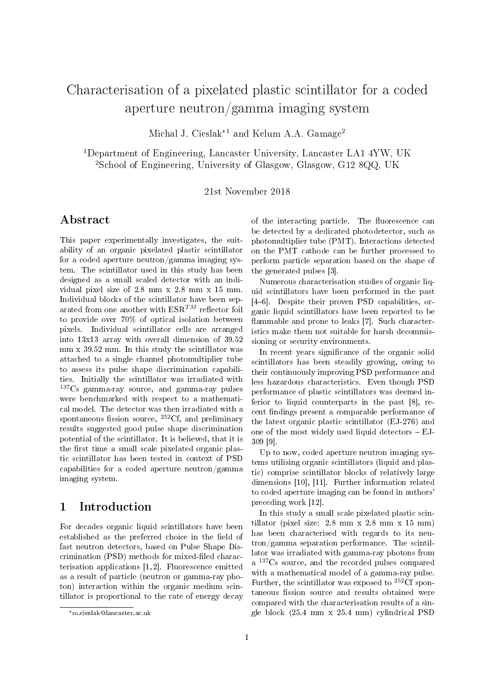# Characterisation of a pixelated plastic scintillator for a coded aperture neutron/gamma imaging system

Michal J. Cieslak<sup>\*1</sup> and Kelum A.A. Gamage<sup>2</sup>

<sup>1</sup>Department of Engineering, Lancaster University, Lancaster LA1 4YW, UK <sup>2</sup>School of Engineering, University of Glasgow, Glasgow, G12 8QQ, UK

21st November 2018

#### Abstract

This paper experimentally investigates, the suitability of an organic pixelated plastic scintillator for a coded aperture neutron/gamma imaging system. The scintillator used in this study has been designed as a small scaled detector with an individual pixel size of 2.8 mm x 2.8 mm x 15 mm. Individual blocks of the scintillator have been separated from one another with  $ESR^{TM}$  reflector foil to provide over 70% of optical isolation between pixels. Individual scintillator cells are arranged into 13x13 array with overall dimension of 39.52 mm x 39.52 mm. In this study the scintillator was attached to a single channel photomultiplier tube to assess its pulse shape discrimination capabilities. Initially the scintillator was irradiated with <sup>137</sup>Cs gamma-ray source, and gamma-ray pulses were benchmarked with respect to a mathematical model. The detector was then irradiated with a spontaneous fission source,  ${}^{252}Cf$ , and preliminary results suggested good pulse shape discrimination potential of the scintillator. It is believed, that it is the first time a small scale pixelated organic plastic scintillator has been tested in context of PSD capabilities for a coded aperture neutron/gamma imaging system.

### 1 Introduction

For decades organic liquid scintillators have been established as the preferred choice in the field of fast neutron detectors, based on Pulse Shape Discrimination (PSD) methods for mixed-filed characterisation applications [1, 2]. Fluorescence emitted as a result of particle (neutron or gamma-ray photon) interaction within the organic medium scintillator is proportional to the rate of energy decay

of the interacting particle. The fluorescence can be detected by a dedicated photodetector, such as photomultiplier tube (PMT). Interactions detected on the PMT cathode can be further processed to perform particle separation based on the shape of the generated pulses [3].

Numerous characterisation studies of organic liquid scintillators have been performed in the past [46]. Despite their proven PSD capabilities, organic liquid scintillators have been reported to be flammable and prone to leaks [7]. Such characteristics make them not suitable for harsh decommissioning or security environments.

In recent years significance of the organic solid scintillators has been steadily growing, owing to their continuously improving PSD performance and less hazardous characteristics. Even though PSD performance of plastic scintillators was deemed inferior to liquid counterparts in the past [8], recent findings present a comparable performance of the latest organic plastic scintillator (EJ-276) and one of the most widely used liquid detectors  $-ELJ$ -309 [9].

Up to now, coded aperture neutron imaging systems utilising organic scintillators (liquid and plastic) comprise scintillator blocks of relatively large dimensions [10], [11]. Further information related to coded aperture imaging can be found in authors' preceding work [12].

In this study a small scale pixelated plastic scintillator (pixel size: 2.8 mm x 2.8 mm x 15 mm) has been characterised with regards to its neutron/gamma separation performance. The scintillator was irradiated with gamma-ray photons from a <sup>137</sup>Cs source, and the recorded pulses compared with a mathematical model of a gamma-ray pulse. Further, the scintillator was exposed to  ${}^{252}$ Cf spontaneous fission source and results obtained were compared with the characterisation results of a single block (25.4 mm x 25.4 mm) cylindrical PSD

<sup>\*</sup>m.cieslak@lancaster.ac.uk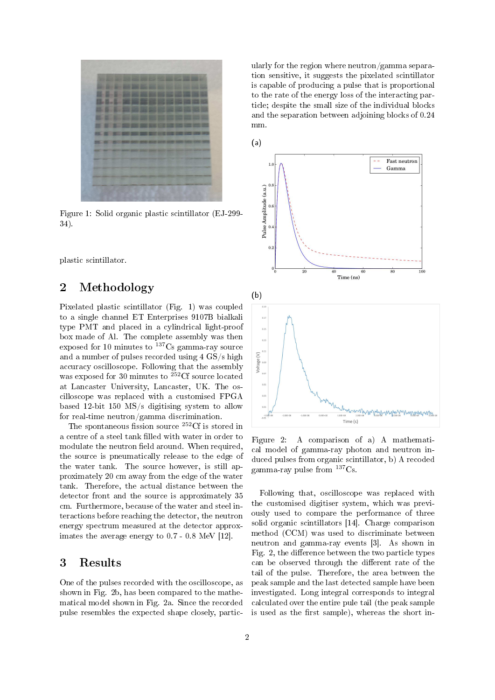

Figure 1: Solid organic plastic scintillator (EJ-299- 34).

plastic scintillator.

# 2 Methodology

Pixelated plastic scintillator (Fig. 1) was coupled to a single channel ET Enterprises 9107B bialkali type PMT and placed in a cylindrical light-proof box made of Al. The complete assembly was then exposed for 10 minutes to  $137C$ s gamma-ray source and a number of pulses recorded using 4 GS/s high accuracy oscilloscope. Following that the assembly was exposed for 30 minutes to <sup>252</sup>Cf source located at Lancaster University, Lancaster, UK. The oscilloscope was replaced with a customised FPGA based 12-bit 150 MS/s digitising system to allow for real-time neutron/gamma discrimination.

The spontaneous fission source  ${}^{252}$ Cf is stored in a centre of a steel tank filled with water in order to modulate the neutron field around. When required, the source is pneumatically release to the edge of the water tank. The source however, is still approximately 20 cm away from the edge of the water tank. Therefore, the actual distance between the detector front and the source is approximately 35 cm. Furthermore, because of the water and steel interactions before reaching the detector, the neutron energy spectrum measured at the detector approximates the average energy to 0.7 - 0.8 MeV [12].

# 3 Results

One of the pulses recorded with the oscilloscope, as shown in Fig. 2b, has been compared to the mathematical model shown in Fig. 2a. Since the recorded pulse resembles the expected shape closely, particularly for the region where neutron/gamma separation sensitive, it suggests the pixelated scintillator is capable of producing a pulse that is proportional to the rate of the energy loss of the interacting particle; despite the small size of the individual blocks and the separation between adjoining blocks of 0.24 mm.

(a)



Figure 2: A comparison of a) A mathematical model of gamma-ray photon and neutron induced pulses from organic scintillator, b) A recoded gamma-ray pulse from  $137C_s$ .

Following that, oscilloscope was replaced with the customised digitiser system, which was previously used to compare the performance of three solid organic scintillators [14]. Charge comparison method (CCM) was used to discriminate between neutron and gamma-ray events [3]. As shown in Fig. 2, the difference between the two particle types can be observed through the different rate of the tail of the pulse. Therefore, the area between the peak sample and the last detected sample have been investigated. Long integral corresponds to integral calculated over the entire pule tail (the peak sample is used as the first sample), whereas the short in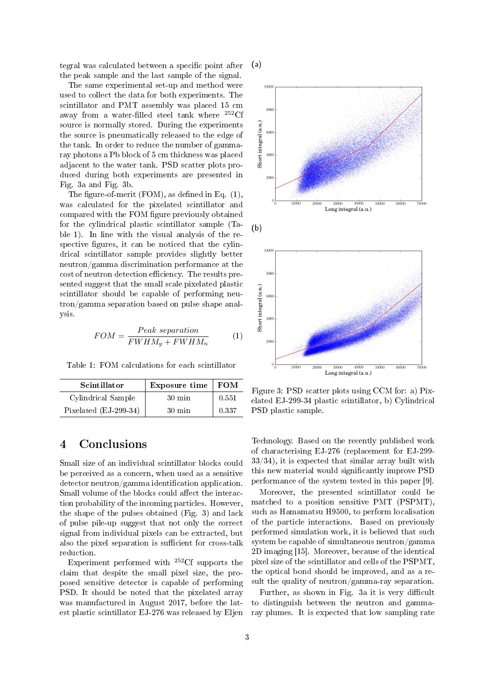tegral was calculated between a specific point after the peak sample and the last sample of the signal.

(a)

The same experimental set-up and method were used to collect the data for both experiments. The scintillator and PMT assembly was placed 15 cm away from a water-filled steel tank where  ${}^{252}$ Cf source is normally stored. During the experiments the source is pneumatically released to the edge of the tank. In order to reduce the number of gammaray photons a Pb block of 5 cm thickness was placed adjacent to the water tank. PSD scatter plots produced during both experiments are presented in Fig. 3a and Fig. 3b.

The figure-of-merit (FOM), as defined in Eq.  $(1)$ , was calculated for the pixelated scintillator and compared with the FOM figure previously obtained for the cylindrical plastic scintillator sample (Table 1). In line with the visual analysis of the respective figures, it can be noticed that the cylindrical scintillator sample provides slightly better neutron/gamma discrimination performance at the cost of neutron detection efficiency. The results presented suggest that the small scale pixelated plastic scintillator should be capable of performing neutron/gamma separation based on pulse shape analysis.

$$
FOM = \frac{Peak \; separation}{FWHM_g + FWHM_n} \tag{1}
$$

Table 1: FOM calculations for each scintillator

| <b>Scintillator</b>   | Exposure time    | <b>FOM</b> |
|-----------------------|------------------|------------|
| Cylindrical Sample    | $30 \text{ min}$ | 0.551      |
| Pixelated (EJ-299-34) | $30 \text{ min}$ | 0.337      |

# 4 Conclusions

Small size of an individual scintillator blocks could be perceived as a concern, when used as a sensitive  $d$  detector neutron/gamma identification application. Small volume of the blocks could affect the interaction probability of the incoming particles. However, the shape of the pulses obtained (Fig. 3) and lack of pulse pile-up suggest that not only the correct signal from individual pixels can be extracted, but also the pixel separation is sufficient for cross-talk reduction.

Experiment performed with  $252 \text{C}$  supports the claim that despite the small pixel size, the proposed sensitive detector is capable of performing PSD. It should be noted that the pixelated array was manufactured in August 2017, before the latest plastic scintillator EJ-276 was released by Eljen



Figure 3: PSD scatter plots using CCM for: a) Pixelated EJ-299-34 plastic scintillator, b) Cylindrical PSD plastic sample.

Technology. Based on the recently published work of characterising EJ-276 (replacement for EJ-299-  $33/34$ , it is expected that similar array built with this new material would signicantly improve PSD performance of the system tested in this paper [9].

Moreover, the presented scintillator could be matched to a position sensitive PMT (PSPMT), such as Hamamatsu H9500, to perform localisation of the particle interactions. Based on previously performed simulation work, it is believed that such system be capable of simultaneous neutron/gamma 2D imaging [15]. Moreover, because of the identical pixel size of the scintillator and cells of the PSPMT, the optical bond should be improved, and as a result the quality of neutron/gamma-ray separation.

Further, as shown in Fig. 3a it is very difficult to distinguish between the neutron and gammaray plumes. It is expected that low sampling rate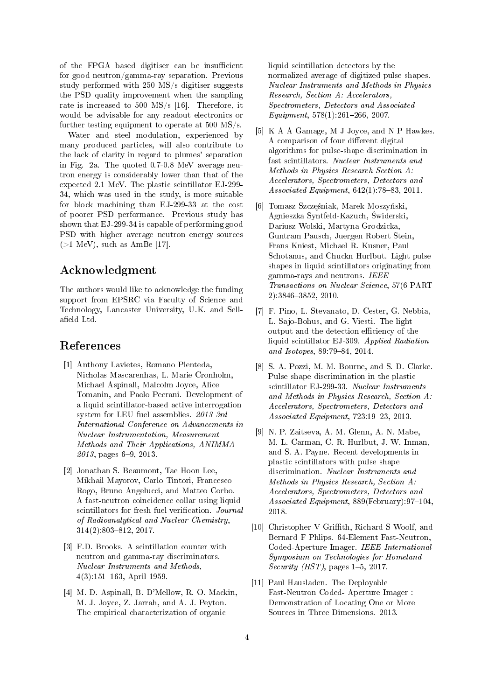of the FPGA based digitiser can be insufficient for good neutron/gamma-ray separation. Previous study performed with 250 MS/s digitiser suggests the PSD quality improvement when the sampling rate is increased to 500 MS/s [16]. Therefore, it would be advisable for any readout electronics or further testing equipment to operate at 500 MS/s.

Water and steel modulation, experienced by many produced particles, will also contribute to the lack of clarity in regard to plumes' separation in Fig. 2a. The quoted 0.7-0.8 MeV average neutron energy is considerably lower than that of the expected 2.1 MeV. The plastic scintillator EJ-299- 34, which was used in the study, is more suitable for block machining than EJ-299-33 at the cost of poorer PSD performance. Previous study has shown that EJ-299-34 is capable of performing good PSD with higher average neutron energy sources  $(>1 \text{ MeV})$ , such as AmBe [17].

### Acknowledgment

The authors would like to acknowledge the funding support from EPSRC via Faculty of Science and Technology, Lancaster University, U.K. and Sellafield Ltd.

#### References

- [1] Anthony Lavietes, Romano Plenteda, Nicholas Mascarenhas, L. Marie Cronholm, Michael Aspinall, Malcolm Joyce, Alice Tomanin, and Paolo Peerani. Development of a liquid scintillator-based active interrogation system for LEU fuel assemblies. 2013 3rd International Conference on Advancements in Nuclear Instrumentation, Measurement Methods and Their Applications, ANIMMA  $2013$ , pages 6-9, 2013.
- [2] Jonathan S. Beaumont, Tae Hoon Lee, Mikhail Mayorov, Carlo Tintori, Francesco Rogo, Bruno Angelucci, and Matteo Corbo. A fast-neutron coincidence collar using liquid scintillators for fresh fuel verification. Journal of Radioanalytical and Nuclear Chemistry,  $314(2):803 - 812, 2017.$
- [3] F.D. Brooks. A scintillation counter with neutron and gamma-ray discriminators. Nuclear Instruments and Methods,  $4(3):151-163$ , April 1959.
- [4] M. D. Aspinall, B. D'Mellow, R. O. Mackin, M. J. Joyce, Z. Jarrah, and A. J. Peyton. The empirical characterization of organic

liquid scintillation detectors by the normalized average of digitized pulse shapes. Nuclear Instruments and Methods in Physics Research, Section A: Accelerators, Spectrometers, Detectors and Associated Equipment,  $578(1):261-266$ , 2007.

- [5] K A A Gamage, M J Joyce, and N P Hawkes. A comparison of four different digital algorithms for pulse-shape discrimination in fast scintillators. Nuclear Instruments and Methods in Physics Research Section A: Accelerators, Spectrometers, Detectors and Associated Equipment,  $642(1)$ : 78-83, 2011.
- [6] Tomasz Szczęśniak, Marek Moszyński, Agnieszka Syntfeld-Kazuch, Świderski, Dariusz Wolski, Martyna Grodzicka, Guntram Pausch, Juergen Robert Stein, Frans Kniest, Michael R. Kusner, Paul Schotanus, and Chuckn Hurlbut. Light pulse shapes in liquid scintillators originating from gamma-rays and neutrons. IEEE Transactions on Nuclear Science, 57(6 PART 2):3846-3852, 2010.
- [7] F. Pino, L. Stevanato, D. Cester, G. Nebbia, L. Sajo-Bohus, and G. Viesti. The light output and the detection efficiency of the liquid scintillator EJ-309. Applied Radiation and Isotopes,  $89.79 - 84, 2014$ .
- [8] S. A. Pozzi, M. M. Bourne, and S. D. Clarke. Pulse shape discrimination in the plastic scintillator EJ-299-33. Nuclear Instruments and Methods in Physics Research, Section A: Accelerators, Spectrometers, Detectors and Associated Equipment, 723:19-23, 2013.
- [9] N. P. Zaitseva, A. M. Glenn, A. N. Mabe, M. L. Carman, C. R. Hurlbut, J. W. Inman, and S. A. Payne. Recent developments in plastic scintillators with pulse shape discrimination. Nuclear Instruments and Methods in Physics Research, Section A: Accelerators, Spectrometers, Detectors and Associated Equipment,  $889$ (February): 97–104, 2018.
- [10] Christopher V Griffith, Richard S Woolf, and Bernard F Phlips. 64-Element Fast-Neutron, Coded-Aperture Imager. IEEE International Symposium on Technologies for Homeland Security (HST), pages  $1-5$ , 2017.
- [11] Paul Hausladen. The Deployable Fast-Neutron Coded- Aperture Imager : Demonstration of Locating One or More Sources in Three Dimensions. 2013.